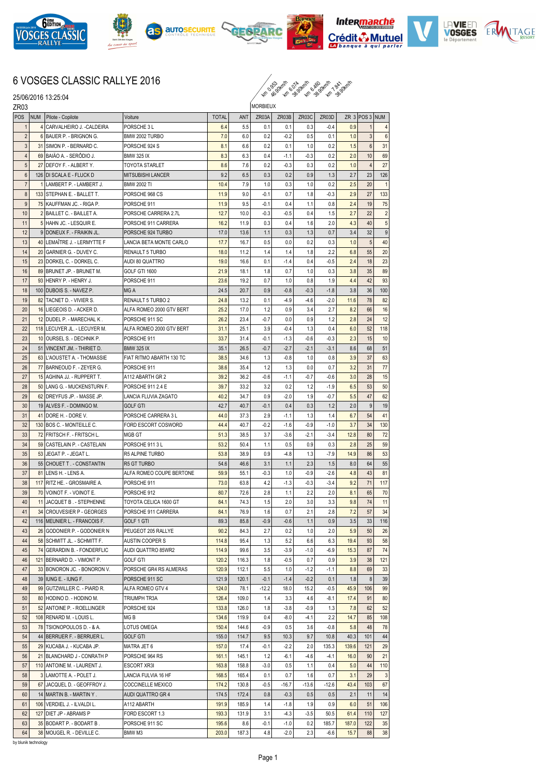











## 6 VOSGES CLASSIC RALLYE 2016

ku ko 36.94 kw 36.94 kw 36.94 kw

| 25/06/2016 13:25:04<br>ZR <sub>03</sub> |            |                                                       |                          |              | <i>fu</i> 10 <sub>22</sub> fu 922 fu 922 fu 922 |                 |                  |                |                 |       |                    |                  |
|-----------------------------------------|------------|-------------------------------------------------------|--------------------------|--------------|-------------------------------------------------|-----------------|------------------|----------------|-----------------|-------|--------------------|------------------|
|                                         |            |                                                       |                          |              |                                                 | <b>MORBIEUX</b> |                  |                |                 |       |                    |                  |
| POS                                     | <b>NUM</b> | Pilote - Copilote                                     | Voiture                  | <b>TOTAL</b> | ANT                                             | ZR03A           | ZR03B            | ZR03C          | ZR03D           |       | ZR $3$ POS $3$ NUM |                  |
| 1                                       | 4          | CARVALHEIRO J. -CALDEIRA                              | PORSCHE 3 L              | 6.4          | 5.5                                             | 0.1             | 0.1              | 0.3            | $-0.4$          | 0.9   | 1                  | 4                |
| $\overline{2}$                          |            | 6 BAUER P. - BRIGNON G.                               | BMW 2002 TURBO           | 7.0          | 6.0                                             | 0.2             | $-0.2$           | 0.5            | 0.1             | 1.0   | 3                  | $6\phantom{1}6$  |
| 3                                       |            | 31 SIMON P. - BERNARD C.                              | PORSCHE 924 S            | 8.1          | 6.6                                             | 0.2             | 0.1              | 1.0            | 0.2             | 1.5   | $6\phantom{1}$     | 31               |
| 4                                       |            | 69 BAIÃO A. - SERÔDIO J.                              | <b>BMW 325 IX</b>        | 8.3          | 6.3                                             | 0.4             | $-1.1$           | $-0.3$         | 0.2             | 2.0   | 10                 | 69               |
| 5                                       | 27         | DEFOY F. - ALBERT Y.                                  | TOYOTA STARLET           | 8.6          | 7.6                                             | 0.2             | $-0.3$           | 0.3            | 0.2             | 1.0   | $\overline{4}$     | 27               |
| 6                                       |            | 126 DI SCALA E - FLUCK D                              | <b>MITSUBISHI LANCER</b> | 9.2          | 6.5                                             | 0.3             | 0.2              | 0.9            | 1.3             | 2.7   | 23                 | 126              |
| $\overline{7}$                          | 1          | LAMBERT P. - LAMBERT J.                               | <b>BMW 2002 TI</b>       | 10.4         | 7.9                                             | 1.0             | 0.3              | 1.0            | 0.2             | 2.5   | 20                 | $\overline{1}$   |
| 8                                       |            | 133 STEPHAN E. - BALLET T.                            | PORSCHE 968 CS           | 11.9         | 9.0                                             | $-0.1$          | 0.7              | 1.8            | $-0.3$          | 2.9   | 27                 | 133              |
| 9                                       |            | 75 KAUFFMAN JC. - RIGA P.                             | PORSCHE 911              | 11.9         | 9.5                                             | $-0.1$          | 0.4              | 1.1            | 0.8             | 2.4   | 19                 | 75               |
| 10                                      |            | 2 BAILLET C. - BAILLET A.                             | PORSCHE CARRERA 2.7L     | 12.7         | 10.0                                            | $-0.3$          | $-0.5$           | 0.4            | 1.5             | 2.7   | 22                 | $\sqrt{2}$       |
| 11                                      |            | 5 HAHN JC. - LESQUIR E.                               | PORSCHE 911 CARRERA      | 16.2         | 11.9                                            | 0.3             | 0.4              | 1.6            | 2.0             | 4.3   | 40                 | 5                |
| 12                                      |            | 9 DONEUX F. - FRAIKIN JL.                             | PORSCHE 924 TURBO        | 17.0         | 13.6                                            | 1.1             | 0.3              | 1.3            | 0.7             | 3.4   | 32                 | $\boldsymbol{9}$ |
| 13                                      | 40         | LEMAÎTRE J. - LERMYTTE F                              | LANCIA BETA MONTE CARLO  | 17.7         | 16.7                                            | 0.5             | 0.0              | 0.2            | 0.3             | 1.0   | 5                  | 40               |
| 14                                      | 20         | GARNIER G. - DUVEY C.                                 | RENAULT 5 TURBO          | 18.0         | 11.2                                            | 1.4             | 1.4              | 1.8            | 2.2             | 6.8   | 55                 | 20               |
| 15                                      | 23         | Dorkel C. - Dorkel C.                                 | AUDI 80 QUATTRO          | 19.0         | 16.6                                            | 0.1             | $-1.4$           | 0.4            | $-0.5$          | 2.4   | 18                 | 23               |
| 16                                      | 89         | BRUNET JP. - BRUNET M.                                | <b>GOLF GTI 1600</b>     | 21.9         | 18.1                                            | 1.8             | 0.7              | 1.0            | 0.3             | 3.8   | 35                 | 89               |
| 17                                      | 93         | HENRY P. - HENRY J.                                   | PORSCHE 911              | 23.6         | 19.2                                            | 0.7             | 1.0              | 0.8            | 1.9             | 4.4   | 42                 | 93               |
| 18                                      | 100        | DUBOIS S. - NAVEZ P.                                  | MG A                     | 24.5         | 20.7                                            | 0.9             | $-0.8$           | $-0.3$         | $-1.8$          | 3.8   | 36                 | 100              |
| 19                                      | 82         | TACNET D. - VIVIER S.                                 | RENAULT 5 TURBO 2        | 24.8         | 13.2                                            | 0.1             | $-4.9$           | $-4.6$         | $-2.0$          | 11.6  | 78                 | 82               |
| 20                                      | 16         | LIEGEOIS D. - ACKER D.                                | ALFA ROMEO 2000 GTV BERT | 25.2         | 17.0                                            | 1.2             | 0.9              | 3.4            | 2.7             | 8.2   | 66                 | 16               |
| 21                                      | 12         | DUDEL P. - MARECHAL K                                 | PORSCHE 911 SC           | 26.2         | 23.4                                            | $-0.7$          | 0.0              | 0.9            | 1.2             | 2.8   | 24                 | 12               |
| 22                                      |            | 118 LECUYER JL. - LECUYER M.                          | ALFA ROMEO 2000 GTV BERT | 31.1         | 25.1                                            | 3.9             | $-0.4$           | 1.3            | 0.4             | 6.0   | 52                 | 118              |
| 23                                      | 10         | OURSEL S. - DECHNIK P.                                | PORSCHE 911              | 33.7         | 31.4                                            | $-0.1$          | $-1.3$           | $-0.6$         | $-0.3$          | 2.3   | 15                 | 10               |
| 24                                      | 51         | VINCENT JM. - THIRIET D.                              | <b>BMW 325 IX</b>        | 35.1         | 26.5                                            | $-0.7$          | $-2.7$           | $-2.1$         | $-3.1$          | 8.6   | 68                 | 51               |
| 25                                      | 63         | L'AOUSTET A. - THOMASSIE                              | FIAT RITMO ABARTH 130 TC | 38.5         | 34.6                                            | 1.3             | $-0.8$           | 1.0            | 0.8             | 3.9   | 37                 | 63               |
| 26                                      |            | 77 BARNEOUD F. - ZEYER G.                             | PORSCHE 911              | 38.6         | 35.4                                            | 1.2             | 1.3              | 0.0            | 0.7             | 3.2   | 31                 | 77               |
| 27                                      |            | 15 AGHINA JJ. - RUPPERT T.                            | A112 ABARTH GR 2         | 39.2         | 36.2                                            | $-0.6$          | $-1.1$           | $-0.7$         | $-0.6$          | 3.0   | 28                 | 15               |
| 28                                      |            | 50 LANG G. - MUCKENSTURN F.                           | PORSCHE 911 2.4 E        | 39.7         | 33.2                                            | 3.2             | 0.2              | 1.2            | $-1.9$          | 6.5   | 53                 | 50               |
| 29                                      |            | 62 DREYFUS JP. - MASSE JP.                            | LANCIA FLUVIA ZAGATO     | 40.2         | 34.7                                            | 0.9             | $-2.0$           | 1.9            | $-0.7$          | 5.5   | 47                 | 62               |
| 30                                      |            | 19 ALVES F. - DOMINGO M.                              | <b>GOLF GTI</b>          | 42.7         | 40.7                                            | $-0.1$          | 0.4              | 0.3            | 1.2             | 2.0   | 9                  | 19               |
| 31                                      |            | 41 IDORE H. - DORE V.                                 | PORSCHE CARRERA 3 L      | 44.0         | 37.3                                            | 2.9             | $-1.1$           | 1.3            | 1.4             | 6.7   | 54                 | 41               |
| 32                                      |            | 130 BOS C. - MONTEILLE C.                             | FORD ESCORT COSWORD      | 44.4         | 40.7                                            | $-0.2$          | $-1.6$           | $-0.9$         | $-1.0$          | 3.7   | 34                 | 130              |
| 33                                      |            | 72 FRITSCH F. - FRITSCH L.                            | MGB GT                   | 51.3         | 38.5                                            | 3.7             | $-3.6$           | $-2.1$         | $-3.4$          | 12.8  | 80                 | 72               |
| 34                                      |            | 59 CASTELAIN P. - CASTELAIN                           | PORSCHE 9113L            | 53.2         | 50.4                                            | 1.1             | 0.5              | 0.9            | 0.3             | 2.8   | 25                 | 59               |
| 35                                      |            | 53 JEGAT P. - JEGAT L.                                | R5 ALPINE TURBO          | 53.8         | 38.9                                            | 0.9             | $-4.8$           | 1.3            | $-7.9$          | 14.9  | 86                 | 53               |
| 36                                      |            | 55 CHOUET T. - CONSTANTIN                             | <b>R5 GT TURBO</b>       | 54.6         | 46.6                                            | 3.1             | 1.1              | 2.3            | 1.5             | 8.0   | 64                 | 55               |
| 37                                      |            | 81 LENS H. - LENS A.                                  | ALFA ROMEO COUPE BERTONE | 59.9         | 55.1                                            | $-0.3$          | 1.0              | $-0.9$         | $-2.6$          | 4.8   | 43                 | 81               |
| 38                                      | 117        | IRITZ HE. - GROSMAIRE A.                              | PORSCHE 911              | 73.0         | 63.8                                            | 4.2             | $-1.3$           | -0.3           | $-3.4$          | 9.2   | 71                 | 117              |
| 39                                      | 70         | VOINOT F. - VOINOT E.                                 | PORSCHE 912              | 80.7         | 72.6                                            | 2.8             | 1.1              | 2.2            | 2.0             | 8.1   | 65                 | 70               |
| 40                                      | 11         | JACQUET B. - STEPHENNE                                | TOYOTA CELICA 1600 GT    | 84.1         | 74.3                                            | 1.5             | 2.0              | 3.0            | 3.3             | 9.8   | 74                 | 11               |
| 41                                      |            | 34 CROUVESIER P - GEORGES                             | PORSCHE 911 CARRERA      | 84.1         | 76.9                                            | 1.6             | 0.7              | 2.1            | 2.8             | 7.2   | 57                 | 34               |
| 42                                      |            | 116 MEUNIER L. - FRANCOIS F.                          | GOLF 1 GTI               | 89.3         | 85.8                                            | $-0.9$          | $-0.6$           | 1.1            | 0.9             | 3.5   | 33                 | 116              |
| 43                                      |            | 26 GODONIER P. - GODONIER N                           | PEUGEOT 205 RALLYE       | 90.2         | 84.3                                            | 2.7             | 0.2              | 1.0            | 2.0             | 5.9   | 50                 | 26               |
| 44                                      |            | 58 SCHMITT JL. - SCHMITT F.                           | AUSTIN COOPER S          | 114.8        | 95.4                                            | 1.3             | 5.2              | 6.6            | 6.3             | 19.4  | 93                 | 58               |
| 45                                      |            | 74 GERARDIN B. - FONDERFLIC                           | AUDI QUATTRO 85WR2       | 114.9        | 99.6                                            | 3.5             | $-3.9$           | $-1.0$         | $-6.9$          | 15.3  | 87                 | 74               |
| 46                                      |            | 121 BERNARD D. - VIMONT P.                            | GOLF GTI                 | 120.2        | 116.3                                           | 1.8             | $-0.5$           | 0.7            | 0.9             | 3.9   | 38                 | 121              |
| 47                                      |            | 33 BONORON JC. - BONORON V.                           | PORSCHE GR4 RS ALMERAS   | 120.9        | 112.1                                           | 5.5             | 1.0              | $-1.2$         | $-1.1$          | 8.8   | 69                 | 33               |
| 48                                      |            | 39   IUNG E. - IUNG F.                                | PORSCHE 911 SC           | 121.9        | 120.1                                           | $-0.1$          | $-1.4$           | $-0.2$         | 0.1             | 1.8   | 8                  | 39               |
| 49                                      |            | 99 GUTZWILLER C. - PIARD R.                           | ALFA ROMEO GTV 4         | 124.0        | 78.1                                            | $-12.2$         | 18.0             | 15.2           | $-0.5$          | 45.9  | 106                | 99               |
| 50                                      |            | 80 HODINO D. - HODINO M.                              | TRIUMPH TR3A             | 126.4        | 109.0                                           | 1.4             | 3.3              | 4.6            | $-8.1$          | 17.4  | 91                 | 80               |
| 51                                      | 52         | ANTOINE P. - ROELLINGER                               | PORSCHE 924              | 133.8        | 126.0                                           | 1.8             | $-3.8$           | $-0.9$         | 1.3             | 7.8   | 62                 | 52               |
| 52                                      | 108        | RENARD M. - LOUIS L.                                  | MG B                     | 134.6        | 119.9                                           | 0.4             | $-8.0$           | $-4.1$         | 2.2             | 14.7  | 85                 | 108              |
| 53                                      |            | 78 TSIONOPOULOS D. - & A.                             | LOTUS OMEGA              | 150.4        | 144.6                                           | $-0.9$          | 0.5              | 3.6            | $-0.8$          | 5.8   | 48                 | 78               |
| 54                                      |            | 44 BERRUER F. - BERRUER L.                            | GOLF GTI                 | 155.0        | 114.7                                           | 9.5             | 10.3             | 9.7            | 10.8            | 40.3  | 101                | 44               |
| 55                                      |            | 29 KUCABA J. - KUCABA JP.                             | MATRA JET 6              | 157.0        | 17.4                                            | $-0.1$          | $-2.2$           | 2.0            | 135.3           | 139.6 | 121                | 29               |
|                                         |            |                                                       |                          |              |                                                 |                 |                  | $-4.6$         | $-4.1$          |       | 90                 |                  |
| 56                                      |            | 21 BLANCHARD J - CONRATH P                            | PORSCHE 964 RS           | 161.1        | 145.1                                           | 1.2             | $-6.1$<br>0.5    | 1.1            |                 | 16.0  |                    | 21               |
| 57                                      |            | 110 ANTOINE M. - LAURENT J.                           | ESCORT XR3I              | 163.8        | 158.8                                           | $-3.0$          |                  |                | 0.4             | 5.0   | 44                 | 110              |
| 58                                      |            | 3 LAMOTTE A. - POLET J.                               | LANCIA FULVIA 16 HF      | 168.5        | 165.4<br>130.8                                  | 0.1             | 0.7<br>$-16.7$   | 1.6<br>$-13.6$ | 0.7             | 3.1   | 29<br>103          | 3                |
| 59                                      | 67         | JACQUEL D. - GEOFFROY J.                              | <b>COCCINELLE MEXICO</b> | 174.2        |                                                 | $-0.5$          |                  |                | $-12.6$         | 43.4  |                    | 67               |
| 60                                      |            | 14   MARTIN B. - MARTIN Y.                            | AUDI QUATTRO GR 4        | 174.5        | 172.4                                           | 0.8             | $-0.3$           | 0.5            | 0.5             | 2.1   | 11                 | 14               |
| 61                                      |            | 106   VERDIEL J. - ILVALDI L.                         | A112 ABARTH              | 191.9        | 185.9                                           | 1.4             | $-1.8$           | 1.9            | 0.9             | 6.0   | 51                 | 106              |
| 62                                      |            | 127 DIET JP - ABRAMS P                                | FORD ESCORT 1.3          | 193.3        | 131.9                                           | 3.1             | $-4.3$           | $-3.5$         | 50.5            | 61.4  | 110                | 127              |
| 63<br>64                                |            | 35 BODART P. - BODART B.<br>38 MOUGEL R. - DEVILLE C. | PORSCHE 911 SC<br>BMW M3 | 195.6        | 8.6<br>187.3                                    | $-0.1$<br>4.8   | $-1.0$<br>$-2.0$ | 0.2<br>2.3     | 185.7<br>$-6.6$ | 187.0 | 122<br>88          | 35<br>38         |
|                                         |            |                                                       |                          | 203.0        |                                                 |                 |                  |                |                 | 15.7  |                    |                  |

by blunik technology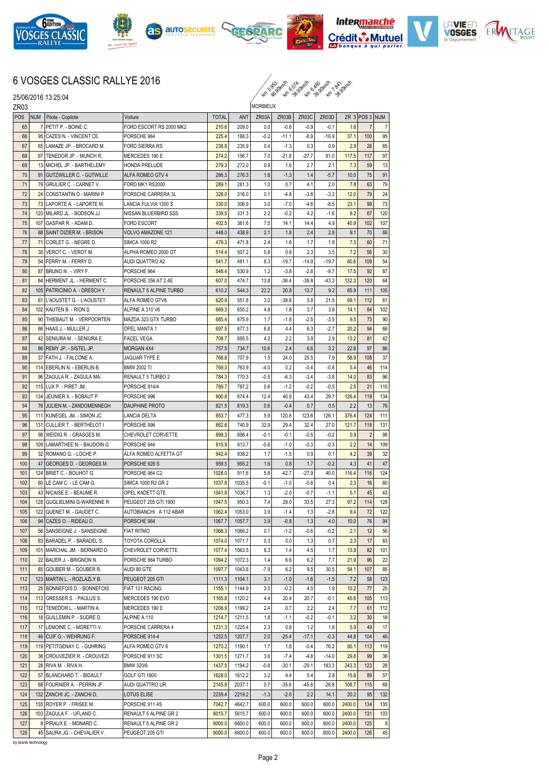

25/06/2016 13:25:04











## 6 VOSGES CLASSIC RALLYE 2016

ku ko 36.94 kw 36.94 kw 36.94 kw

ZR03 POS NUM Pilote - Copilote **Voiture** Voiture TOTAL ANT ZR03A **MORBIEUX**  $ZR03B$   $ZR03C$   $ZR03D$   $ZR$  3 POS 3 NUM 65 7 PETIT P. - BOINE C. FORD ESCORT RS 2000 MK2 210.6 209.0 0.0 -0.6 -0.9 -0.1 1.6 66 95 CAZES N. - VINCENT CE. PORSCHE 964 225.4 188.3 -0.2 -11.1 -8.9 -16.9 37.1 100 95 67 65 LAMAZE JP. - BROCARD M. FORD SIERRA RS 238.8 235.9 0.4 -1.3 0.3 0.9 2.9 26 65 68 97 TENEDOR JP. - MUNCH R. MERCEDES 190 E 274.2 156.7 7.0 -21.8 -27.7 61.0 117.5 117 97 69 13 MICHEL JP. - BARTHELEMY HONDA PRELUDE 279.3 272.0 0.9 1.6 2.7 2.1 7.3 59 13 70 91 GUTZWILLER C. - GUTWILLE ALFA ROMEO GTV 4 286.3 276.3 1.6 -1.3 1.4 -5.7 10.0 75 91 71 79 GRULIER C. - CARNET V. FORD MK1 RS2000 289.1 281.3 1.0 0.7 4.1 2.0 7.8 63 79 72 24 CONSTANTIN D - MARINI P PORSCHE CARRERA 3L 328.0 316.0 0.1 -4.8 -3.8 -3.3 12.0 79 24 73 | 73 | LAPORTE A. - LAPORTE M. | LANCIA FULVIA 1300 S | 330.0 | 306.9 | 3.0 | -7.0 | -4.6 | -8.5 | -23.1 98 73 74 120 MILARD JL. - BODSON JJ. NISSAN BLUERBIRD SSS 339.5 331.3 2.2 -0.2 4.2 -1.6 8.2 67 120 75 107 GASPAR R. - ADAM D. FORD ESCORT 402.5 361.6 7.5 14.1 14.4 4.9 40.9 102 107 76 88 SAINT DIZIER M. - BRISON VOLVO AMAZONE 121 448.0 438.9 2.1 1.8 2.4 2.8 9.1 70 88 77 71 CORLET G. - NEGRE D. SIMCA 1000 R2 479.3 471.8 2.4 1.6 1.7 1.8 7.5 60 71 78 30 VEROT C. - VEROT M. ALPHA ROMEO 2000 GT 514.4 507.2 0.8 0.6 2.3 3.5 7.2 56 30 79 54 FERRY M. - FERRY D. AUDI QUATTRO A2 541.7 481.1 6.3 -19.7 -14.9 -19.7 60.6 109 54 80 87 BRUNO N . - VIRY F. PORSCHE 964 548.4 530.9 1.2 -3.8 -2.8 -9.7 17.5 92 87 81 64 HERMENT L. HERMENT C. PORSCHE 356 AT 2.4E 607.0 474.7 13.8 -36.4 -38.8 -43.3 132.3 120 64 82 105 PATRICINIO A. - DRESCH Y RENAULT 5 ALPINE TURBO 610.2 544.3 22.2 20.8 13.7 9.2 65.9 111 105 83 61 L'AOUSTET G. - L'AOUSTET ALFA ROMEO GTV6 620.9 551.8 3.0 -38.8 5.8 21.5 69.1 112 61 84 102 |KAUTEN B. - RION S. |ALPINE A 310 V6 | 669.3 | 655.2 | 4.8 | 1.8 | 3.7 | 3.8 | 14.1 | 84 | 102 85 90 THIEBAUT M. - VERPOORTEN MAZDA 323 GTX TURBO 685.4 675.9 1.7 -1.8 -2.5 -3.5 9.5 73 90 86 66 HAAS J.- MULLER J. OPEL MANTA 1 697.5 67.3 6.8 4.4 6.3 -2.7 20.2 94 66 87 42 SENIURA M. - SENIURA E. FACEL VEGA 708.7 695.5 4.2 2.2 3.9 2.9 13.2 81 42 88 86 REMY JP. - SISTEL JP. MORGAN 4X4 757.5 734.7 10.6 2.4 6.6 3.2 22.8 97 86 89 37 FATH J.-FALCONE A. JAGUAR TYPE **766.8** 707.9 1.5 24.0 25.5 7.9 58.9 108 37 90 114 EBERLIN N. - EBERLIN B. BMW 2002 TI 769.3 763.9 -4.0 0.2 -0.4 -0.8 5.4 46 114 91 96 ZAGULA R. - ZAGULA MA. RENAULT 5 TURBO 2 784.3 770.3 -0.5 -6.3 -3.4 -3.8 14.0 83 96 92 115 LUX P. - PIRET JM. PORSCHE 914/4 789.7 787.2 0.6 -1.2 -0.2 -0.5 2.5 21 115 93 134 JEUNIER X.-BOBAUT P. PORSCHE 996 800.8 674.4 12.4 40.9 43.4 29.7 126.4 119 134 94 76 JULIEN M. - ZANDOMENNEGH DAUPHINE PROTO 821.5 819.3 0.6 -0.4 0.7 0.5 2.2 13 76 95 111 KUNEGEL JM. - SIMON JC LANCIA DELTA 853.7 477.3 5.9 120.8 123.6 126.1 376.4 124 111 96 131 CULLIER T. - BERTHELOT I PORSCHE 996 862.6 740.9 32.9 29.4 32.4 27.0 121.7 118 131 97 98 WEIDIG R. - GRASGES M. CHEVROLET CORVETTE **899.3** 898.4 -0.1 -0.1 -0.5 -0.2 0.9 2 98 98 109 LAMARTHEE N. - BAUDOIN G PORSCHE 944 915.9 913.7 -0.6 -1.0 -0.3 -0.3 2.2 14 109 99 32 ROMANO G. - LOCHE P. ALFA ROMEO ALFETTA GT 942.4 938.2 1.7 -1.5 0.9 0.1 4.2 39 32 100 47 GEORGES D. - GEORGES M. PORSCHE 928 S 959.5 955.2 1.6 0.8 1.7 -0.2 4.3 41 47 101 124 BRIET C. - BOUHOT G. PORSCHE 964 C2 1028.0 911.6 5.8 -42.7 -27.9 40.0 116.4 116 124 102 60 LE CAM C. - LE CAM G. SIMCA 1000 R2 GR 2 1037.8 1035.5 -0.1 -1.0 -0.8 0.4 2.3 16 60 103 43 NICAISE F - BEAUME R. OPEL KADETT GTE 1041.8 1036.7 1.3 -2.0 -0.7 -1.1 5.1 45 43 104 128 GUGLIELMINI G-WARENNE R PEUGEOT 205 GTI 1900 1047.5 950.3 7.4 29.0 33.5 27.3 97.2 114 128 105 122 GUENET M. - GAUDET C. AUTOBIANCHI A 112 ABAR 1062.4 1053.0 3.9 -1.4 1.3 -2.8 9.4 72 122 106 94 CAZES O. - RIDEAU D. PORSCHE 964 1067.7 | 1057.7 | 1057.7 | 3.9 0.8 | 1.3 | 4.0 10.0 76 94 107 56 SANSEIGNE J. - SANSEIGNE FIAT RITMO 1068.3 1066.2 0.1 -1.2 -0.6 -0.2 2.1 12 56 108 83 BARADEL P. - BARADEL S. TOYOTA COROLLA 1074.0 1071.7 0.3 0.0 1.3 0.7 2.3 17 83 109 101 MARCHAL JM. - BERNARD D. CHEVROLET CORVETTE 1077.4 1063.5 6.3 1.4 4.5 1.7 13.9 82 101 110 22 BAUER J. - BRIGNON N. PORSCHE 964 TURBO 1094.2 1072.3 1.4 6.6 6.2 7.7 21.9 96 22 111 85 GOUBER M. - GOUBER R. AUDI 80 GTE 1097.7 1043.6 -7.9 6.2 9.5 30.5 54.1 107 85 112 123 MARTIN L. - ROZLAZLY B. PEUGEOT 205 GTI 1111.3 1104.1 3.1 -1.0 -1.6 -1.5 7.2 58 123 113 25 BONNEFOIS D. - BONNEFOIS FIAT 131 RACING 1155.1 1144.9 3.5 -0.3 4.5 1.9 10.2 77 25 114 113 GRESSER S. - PAULUS S. MERCEDES 190 EVO 1165.8 1120.2 4.4 20.4 20.7 -0.1 45.6 105 113 115 112 TENEDOR L.- MARTIN A. MERCEDES 190 E 1206.9 1199.2 2.4 0.7 2.2 2.4 7.7 61 112 116 18 GUILLEMIN P. - SUDRE D. ALPINE A 110 1214.7 | 1211.5 | 1.8 | -1.1 | -0.2 | -0.1 | 3.2 | 30 | 18 117 17 LEMOINE C. - MORETTI V. PORSCHE CARRERA 4 1231.3 1225.4 2.3 0.6 1.2 1.8 5.9 49 17 118 46 CUIF G. - WEHRUNG F. PORSCHE 914-4 1252.5 1207.7 2.0 -25.4 -17.1 -0.3 44.8 104 46 119 119 PETITGENAY C. - GUHRING ALFA ROMEO GTV 6 1270.2 1190.1 1.7 1.8 -0.4 76.2 80.1 113 119 120 36 CROUVEZIER R - CROUVEZI PORSCHE 911 SC 1301.5 1271.7 3.6 -7.4 -4.8 -14.0 29.8 99 36 121 28 RIVA M. - RIVA H. BMW 320/6 1437.5 1194.2 -0.8 -30.1 -29.1 183.3 243.3 123 28 122 57 BLANCHARD T. - BIDAULT GOLF GTI 1800 1628.0 1612.2 3.2 4.4 5.4 2.8 15.8 89 57 123 68 FOURNIER A. - PERRIN JF. AUDI QUATTRO UR 2145.8 2037.1 0.7 -35.6 -45.6 -26.8 108.7 115 68 124 132 ZANCHI JC. - ZANCHI D. LOTUS ELISE 2239.4 2219.2 -1.3 -2.6 2.2 14.1 20.2 95 132 125 135 ROYER P. - FRISEE M. PORSCHE 911 4S 7042.7 4642.7 600.0 600.0 600.0 600.0 2400.0 134 135 126 103 ZAGULA F. - UFLAND C. RENAULT 5 ALPINE GR 2 8015.7 5615.7 600.0 600.0 600.0 600.0 2400.0 131 103 127 8 PIRAUX E. - MONARD C. RENAULT 5 ALPINE GR 2 9000.0 6600.0 600.0 600.0 600.0 600.0 2400.0 125 8 128 45 SAURA JG. - CHEVALIER V. PEUGEOT 205 GTI 9000.0 6600.0 600.0 600.0 600.0 600.0 2400.0 126 45

by blunik technology